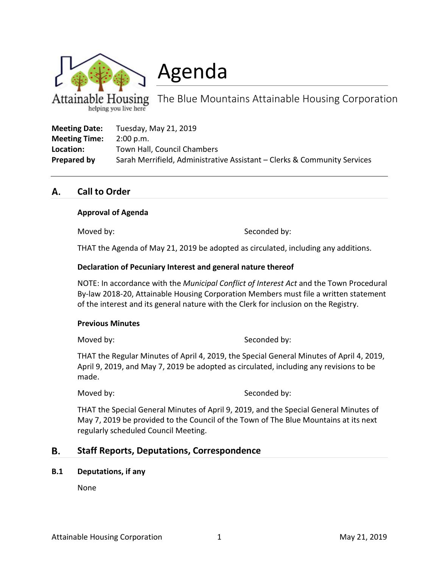

helping you live here

Agenda

The Blue Mountains Attainable Housing Corporation

| <b>Meeting Date:</b> | Tuesday, May 21, 2019                                                    |
|----------------------|--------------------------------------------------------------------------|
| <b>Meeting Time:</b> | $2:00$ p.m.                                                              |
| Location:            | Town Hall, Council Chambers                                              |
| Prepared by          | Sarah Merrifield, Administrative Assistant – Clerks & Community Services |

#### **Call to Order** А.

#### **Approval of Agenda**

Moved by: Seconded by:

THAT the Agenda of May 21, 2019 be adopted as circulated, including any additions.

#### **Declaration of Pecuniary Interest and general nature thereof**

NOTE: In accordance with the *Municipal Conflict of Interest Act* and the Town Procedural By-law 2018-20, Attainable Housing Corporation Members must file a written statement of the interest and its general nature with the Clerk for inclusion on the Registry.

#### **Previous Minutes**

Moved by: Seconded by:

THAT the Regular Minutes of April 4, 2019, the Special General Minutes of April 4, 2019, April 9, 2019, and May 7, 2019 be adopted as circulated, including any revisions to be made.

Moved by: Seconded by:

THAT the Special General Minutes of April 9, 2019, and the Special General Minutes of May 7, 2019 be provided to the Council of the Town of The Blue Mountains at its next regularly scheduled Council Meeting.

#### В. **Staff Reports, Deputations, Correspondence**

#### **B.1 Deputations, if any**

None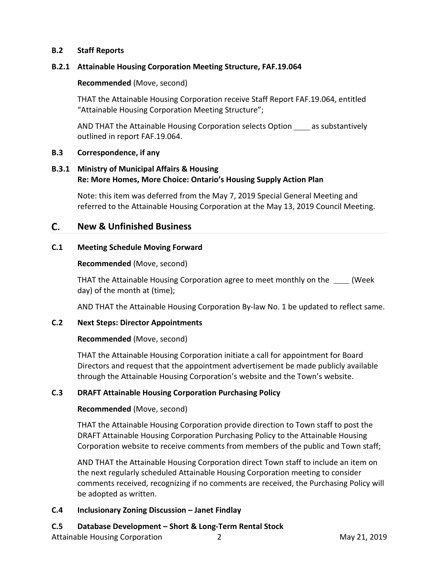## **B.2 Staff Reports**

## **B.2.1 Attainable Housing Corporation Meeting Structure, FAF.19.064**

## **Recommended** (Move, second)

THAT the Attainable Housing Corporation receive Staff Report FAF.19.064, entitled "Attainable Housing Corporation Meeting Structure";

AND THAT the Attainable Housing Corporation selects Option \_\_\_\_ as substantively outlined in report FAF.19.064.

### **B.3 Correspondence, if any**

## **B.3.1 Ministry of Municipal Affairs & Housing Re: More Homes, More Choice: Ontario's Housing Supply Action Plan**

Note: this item was deferred from the May 7, 2019 Special General Meeting and referred to the Attainable Housing Corporation at the May 13, 2019 Council Meeting.

#### C. **New & Unfinished Business**

## **C.1 Meeting Schedule Moving Forward**

### **Recommended** (Move, second)

THAT the Attainable Housing Corporation agree to meet monthly on the (Week day) of the month at (time);

AND THAT the Attainable Housing Corporation By-law No. 1 be updated to reflect same.

### **C.2 Next Steps: Director Appointments**

### **Recommended** (Move, second)

THAT the Attainable Housing Corporation initiate a call for appointment for Board Directors and request that the appointment advertisement be made publicly available through the Attainable Housing Corporation's website and the Town's website.

# **C.3 DRAFT Attainable Housing Corporation Purchasing Policy**

### **Recommended** (Move, second)

THAT the Attainable Housing Corporation provide direction to Town staff to post the DRAFT Attainable Housing Corporation Purchasing Policy to the Attainable Housing Corporation website to receive comments from members of the public and Town staff;

AND THAT the Attainable Housing Corporation direct Town staff to include an item on the next regularly scheduled Attainable Housing Corporation meeting to consider comments received, recognizing if no comments are received, the Purchasing Policy will be adopted as written.

### **C.4 Inclusionary Zoning Discussion – Janet Findlay**

# **C.5 Database Development – Short & Long-Term Rental Stock**

Attainable Housing Corporation 2 2 and 2019 May 21, 2019